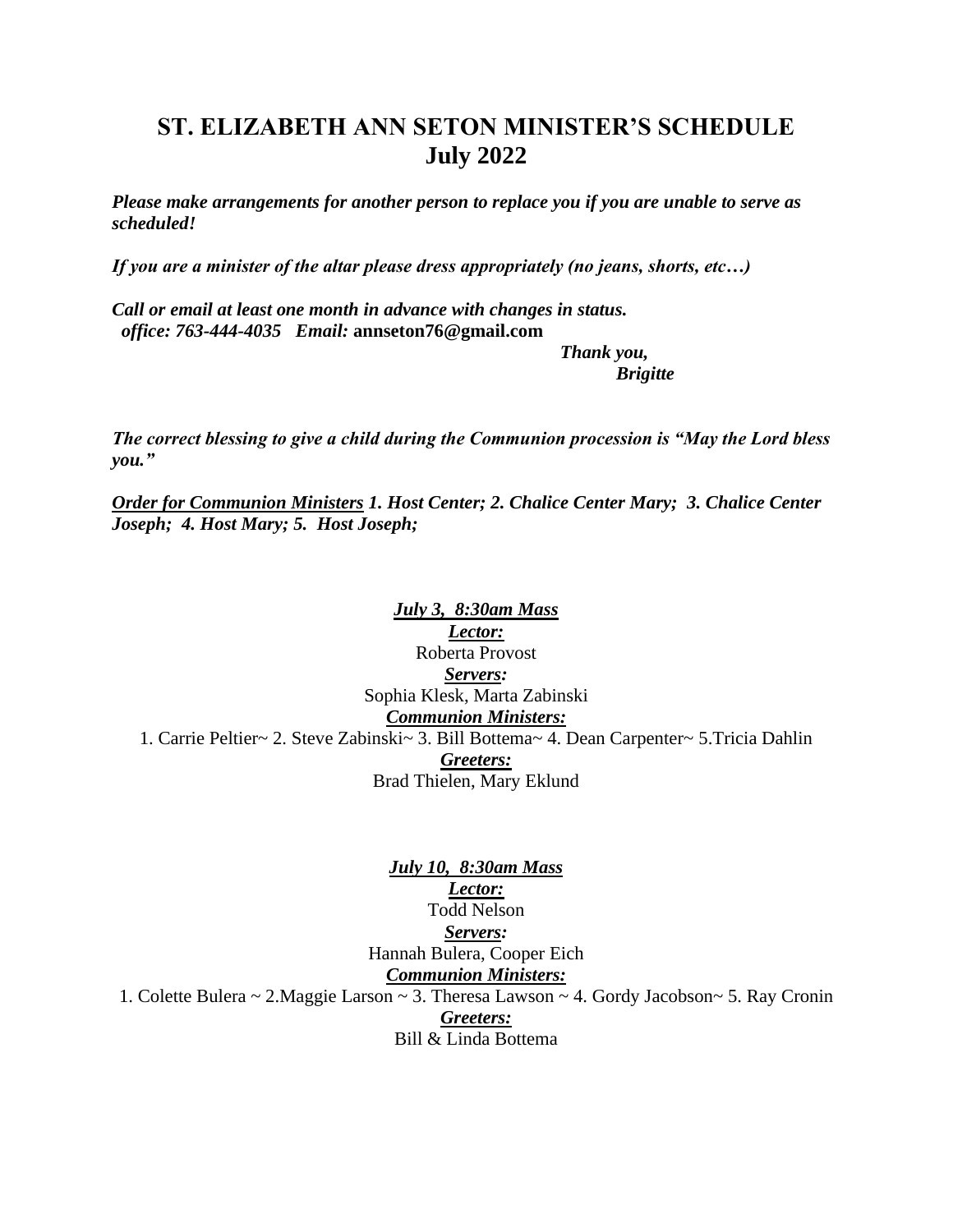## **ST. ELIZABETH ANN SETON MINISTER'S SCHEDULE July 2022**

*Please make arrangements for another person to replace you if you are unable to serve as scheduled!* 

*If you are a minister of the altar please dress appropriately (no jeans, shorts, etc…)*

*Call or email at least one month in advance with changes in status. office: 763-444-4035 Email:* **[annseton76@gmail.com](mailto:annseton76@gmail.com)**

> *Thank you, Brigitte*

*The correct blessing to give a child during the Communion procession is "May the Lord bless you."*

*Order for Communion Ministers 1. Host Center; 2. Chalice Center Mary; 3. Chalice Center Joseph; 4. Host Mary; 5. Host Joseph;* 

*July 3, 8:30am Mass Lector:* Roberta Provost *Servers:* Sophia Klesk, Marta Zabinski *Communion Ministers:* 1. Carrie Peltier~ 2. Steve Zabinski~ 3. Bill Bottema~ 4. Dean Carpenter~ 5.Tricia Dahlin *Greeters:* Brad Thielen, Mary Eklund

*Lector:* Todd Nelson *Servers:* Hannah Bulera, Cooper Eich *Communion Ministers:* 1. Colette Bulera ~ 2.Maggie Larson ~ 3. Theresa Lawson ~ 4. Gordy Jacobson~ 5. Ray Cronin *Greeters:* Bill & Linda Bottema

*July 10, 8:30am Mass*